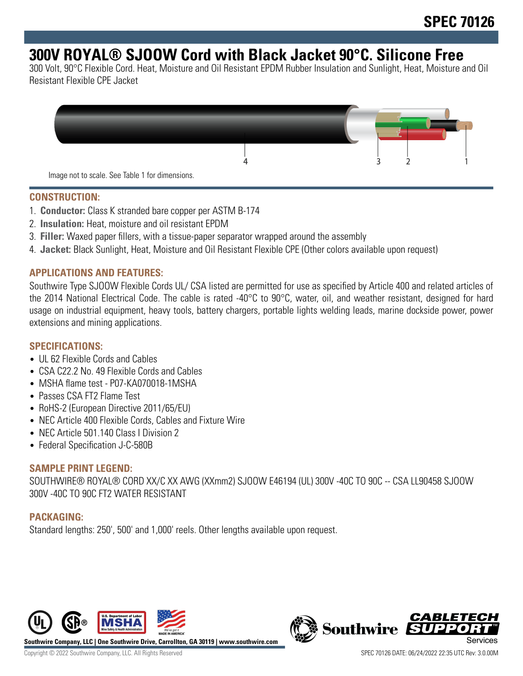# **300V ROYAL® SJOOW Cord with Black Jacket 90°C. Silicone Free**

300 Volt, 90°C Flexible Cord. Heat, Moisture and Oil Resistant EPDM Rubber Insulation and Sunlight, Heat, Moisture and Oil Resistant Flexible CPE Jacket



#### **CONSTRUCTION:**

- 1. **Conductor:** Class K stranded bare copper per ASTM B-174
- 2. **Insulation:** Heat, moisture and oil resistant EPDM
- 3. **Filler:** Waxed paper fillers, with a tissue-paper separator wrapped around the assembly
- 4. **Jacket:** Black Sunlight, Heat, Moisture and Oil Resistant Flexible CPE (Other colors available upon request)

#### **APPLICATIONS AND FEATURES:**

Southwire Type SJOOW Flexible Cords UL/ CSA listed are permitted for use as specified by Article 400 and related articles of the 2014 National Electrical Code. The cable is rated -40°C to 90°C, water, oil, and weather resistant, designed for hard usage on industrial equipment, heavy tools, battery chargers, portable lights welding leads, marine dockside power, power extensions and mining applications.

#### **SPECIFICATIONS:**

- UL 62 Flexible Cords and Cables
- CSA C22.2 No. 49 Flexible Cords and Cables
- MSHA flame test P07-KA070018-1MSHA
- Passes CSA FT2 Flame Test
- RoHS-2 (European Directive 2011/65/EU)
- NEC Article 400 Flexible Cords, Cables and Fixture Wire
- NEC Article 501.140 Class I Division 2
- Federal Specification J-C-580B

#### **SAMPLE PRINT LEGEND:**

SOUTHWIRE® ROYAL® CORD XX/C XX AWG (XXmm2) SJOOW E46194 (UL) 300V -40C TO 90C -- CSA LL90458 SJOOW 300V -40C TO 90C FT2 WATER RESISTANT

#### **PACKAGING:**

Standard lengths: 250', 500' and 1,000' reels. Other lengths available upon request.



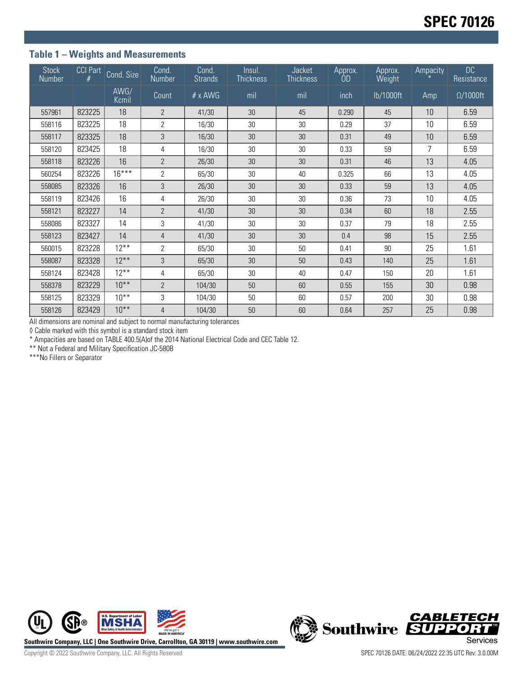## **Table 1 – Weights and Measurements**

| Stock<br>Number | CCI Part<br># | Cond. Size    | Cond.<br>Number | Cond.<br><b>Strands</b> | Insul.<br><b>Thickness</b> | <b>Jacket</b><br><b>Thickness</b> | Approx.<br><b>OD</b> | Approx.<br>Weight | Ampacity | DC<br>Resistance |
|-----------------|---------------|---------------|-----------------|-------------------------|----------------------------|-----------------------------------|----------------------|-------------------|----------|------------------|
|                 |               | AWG/<br>Kcmil | Count           | # x AWG                 | mil                        | mil                               | inch                 | lb/1000ft         | Amp      | $\Omega/1000$ ft |
| 557961          | 823225        | 18            | $\overline{2}$  | 41/30                   | 30                         | 45                                | 0.290                | 45                | 10       | 6.59             |
| 558116          | 823225        | 18            | 2               | 16/30                   | 30                         | 30                                | 0.29                 | 37                | 10       | 6.59             |
| 558117          | 823325        | 18            | 3               | 16/30                   | 30                         | 30                                | 0.31                 | 49                | 10       | 6.59             |
| 558120          | 823425        | 18            | 4               | 16/30                   | 30                         | 30                                | 0.33                 | 59                | 7        | 6.59             |
| 558118          | 823226        | 16            | $\overline{2}$  | 26/30                   | 30                         | 30                                | 0.31                 | 46                | 13       | 4.05             |
| 560254          | 823226        | $16***$       | $\overline{2}$  | 65/30                   | 30                         | 40                                | 0.325                | 66                | 13       | 4.05             |
| 558085          | 823326        | 16            | 3               | 26/30                   | 30                         | 30                                | 0.33                 | 59                | 13       | 4.05             |
| 558119          | 823426        | 16            | 4               | 26/30                   | 30                         | 30                                | 0.36                 | 73                | 10       | 4.05             |
| 558121          | 823227        | 14            | $\overline{2}$  | 41/30                   | 30                         | 30                                | 0.34                 | 60                | 18       | 2.55             |
| 558086          | 823327        | 14            | 3               | 41/30                   | 30                         | 30                                | 0.37                 | 79                | 18       | 2.55             |
| 558123          | 823427        | 14            | 4               | 41/30                   | 30                         | 30                                | 0.4                  | 98                | 15       | 2.55             |
| 560015          | 823228        | $12***$       | $\overline{2}$  | 65/30                   | 30                         | 50                                | 0.41                 | 90                | 25       | 1.61             |
| 558087          | 823328        | $12***$       | 3               | 65/30                   | 30                         | 50                                | 0.43                 | 140               | 25       | 1.61             |
| 558124          | 823428        | $12***$       | 4               | 65/30                   | 30                         | 40                                | 0.47                 | 150               | 20       | 1.61             |
| 558378          | 823229        | $10***$       | $\overline{2}$  | 104/30                  | 50                         | 60                                | 0.55                 | 155               | 30       | 0.98             |
| 558125          | 823329        | $10^{**}$     | 3               | 104/30                  | 50                         | 60                                | 0.57                 | 200               | 30       | 0.98             |
| 558126          | 823429        | $10***$       | 4               | 104/30                  | 50                         | 60                                | 0.64                 | 257               | 25       | 0.98             |

All dimensions are nominal and subject to normal manufacturing tolerances

◊ Cable marked with this symbol is a standard stock item

\* Ampacities are based on TABLE 400.5(A)of the 2014 National Electrical Code and CEC Table 12.

\*\* Not a Federal and Military Specification JC-580B

\*\*\*No Fillers or Separator